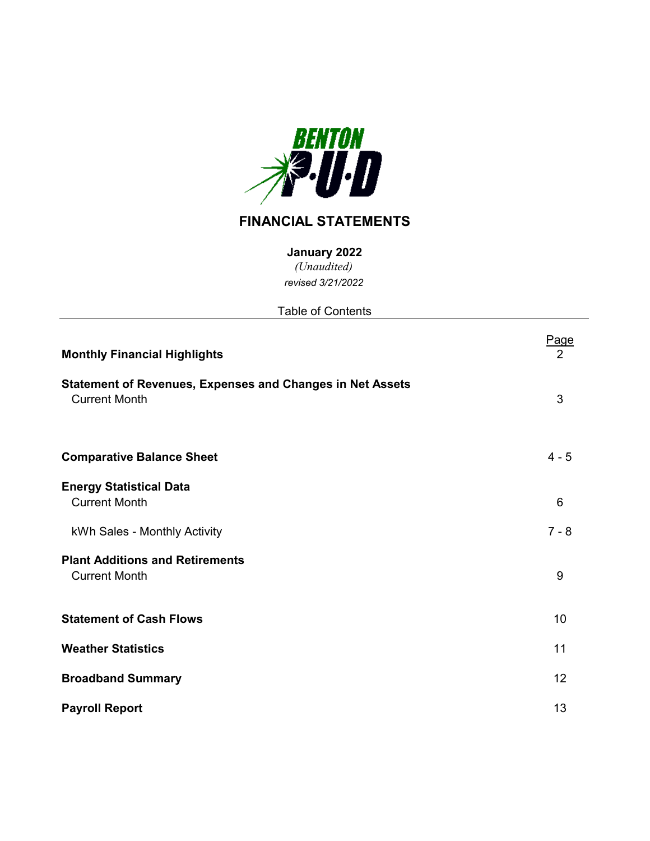

# **FINANCIAL STATEMENTS**

**January 2022**

*(Unaudited) revised 3/21/2022*

| <b>Table of Contents</b>                                                                 |                               |
|------------------------------------------------------------------------------------------|-------------------------------|
| <b>Monthly Financial Highlights</b>                                                      | <u>Page</u><br>$\overline{2}$ |
| <b>Statement of Revenues, Expenses and Changes in Net Assets</b><br><b>Current Month</b> | 3                             |
| <b>Comparative Balance Sheet</b>                                                         | $4 - 5$                       |
| <b>Energy Statistical Data</b><br><b>Current Month</b>                                   | 6                             |
| kWh Sales - Monthly Activity                                                             | $7 - 8$                       |
| <b>Plant Additions and Retirements</b><br><b>Current Month</b>                           | 9                             |
| <b>Statement of Cash Flows</b>                                                           | 10                            |
| <b>Weather Statistics</b>                                                                | 11                            |
| <b>Broadband Summary</b>                                                                 | 12                            |
| <b>Payroll Report</b>                                                                    | 13                            |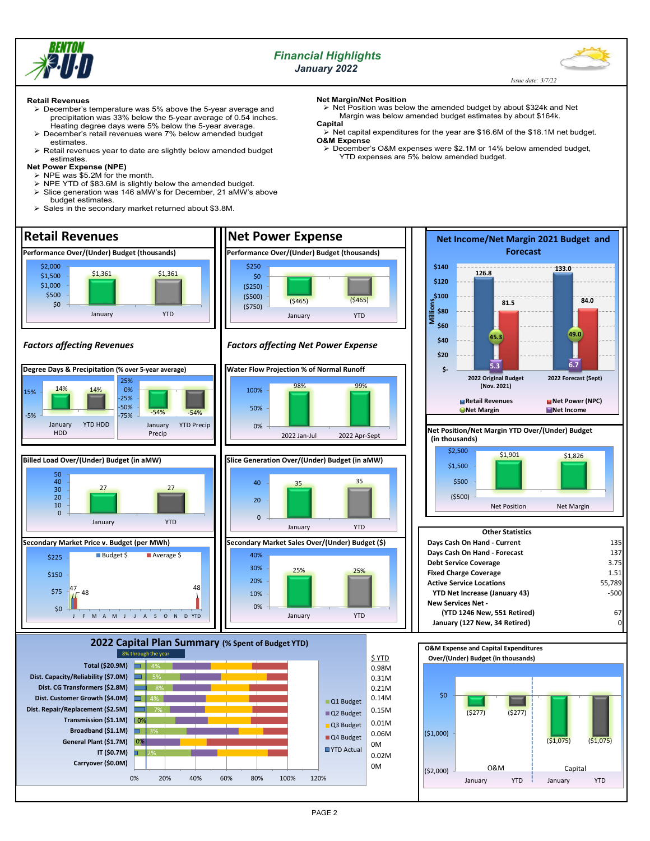

## *Financial Highlights January 2022*



 *Issue date: 3/7/22*

## **Retail Revenues**

- December's temperature was 5% above the 5-year average and precipitation was 33% below the 5-year average of 0.54 inches. Heating degree days were 5% below the 5-year average.
	- December's retail revenues were 7% below amended budget estimates.
- Retail revenues year to date are slightly below amended budget estimates.

## **Net Power Expense (NPE)**

- $\triangleright$  NPE was \$5.2M for the month.
- NPE YTD of \$83.6M is slightly below the amended budget. Slice generation was 146 aMW's for December, 21 aMW's above
- budget estimates.
- $\triangleright$  Sales in the secondary market returned about \$3.8M.

#### **Net Margin/Net Position**

Net Position was below the amended budget by about \$324k and Net Margin was below amended budget estimates by about \$164k. **Capital**

 $\geq$  Net capital expenditures for the year are \$16.6M of the \$18.1M net budget. **O&M Expense**

 December's O&M expenses were \$2.1M or 14% below amended budget, YTD expenses are 5% below amended budget.

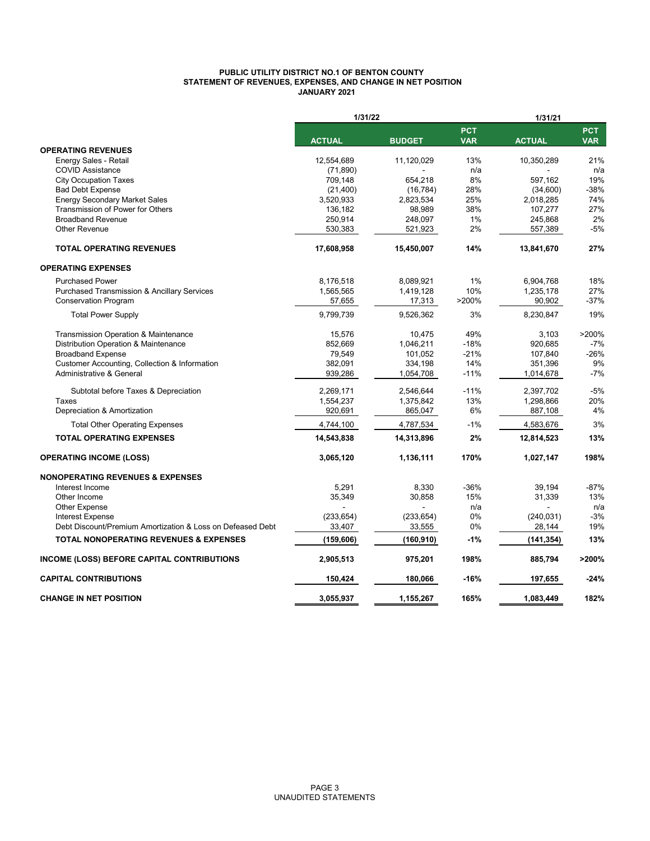## **PUBLIC UTILITY DISTRICT NO.1 OF BENTON COUNTY STATEMENT OF REVENUES, EXPENSES, AND CHANGE IN NET POSITION JANUARY 2021**

|                                                            | 1/31/22       |               |                          | 1/31/21       |                          |
|------------------------------------------------------------|---------------|---------------|--------------------------|---------------|--------------------------|
|                                                            | <b>ACTUAL</b> | <b>BUDGET</b> | <b>PCT</b><br><b>VAR</b> | <b>ACTUAL</b> | <b>PCT</b><br><b>VAR</b> |
| <b>OPERATING REVENUES</b>                                  |               |               |                          |               |                          |
| Energy Sales - Retail                                      | 12,554,689    | 11,120,029    | 13%                      | 10,350,289    | 21%                      |
| <b>COVID Assistance</b>                                    | (71, 890)     |               | n/a                      |               | n/a                      |
| <b>City Occupation Taxes</b>                               | 709,148       | 654,218       | 8%                       | 597,162       | 19%                      |
| <b>Bad Debt Expense</b>                                    | (21, 400)     | (16, 784)     | 28%                      | (34,600)      | $-38%$                   |
| <b>Energy Secondary Market Sales</b>                       | 3,520,933     | 2,823,534     | 25%                      | 2,018,285     | 74%                      |
| Transmission of Power for Others                           | 136,182       | 98,989        | 38%                      | 107,277       | 27%                      |
| <b>Broadband Revenue</b>                                   | 250,914       | 248,097       | 1%                       | 245,868       | 2%                       |
| <b>Other Revenue</b>                                       | 530,383       | 521,923       | 2%                       | 557,389       | $-5%$                    |
| <b>TOTAL OPERATING REVENUES</b>                            | 17,608,958    | 15,450,007    | 14%                      | 13,841,670    | 27%                      |
| <b>OPERATING EXPENSES</b>                                  |               |               |                          |               |                          |
| <b>Purchased Power</b>                                     | 8,176,518     | 8,089,921     | 1%                       | 6,904,768     | 18%                      |
| <b>Purchased Transmission &amp; Ancillary Services</b>     | 1,565,565     | 1,419,128     | 10%                      | 1,235,178     | 27%                      |
| Conservation Program                                       | 57,655        | 17,313        | >200%                    | 90,902        | $-37%$                   |
| <b>Total Power Supply</b>                                  | 9.799.739     | 9,526,362     | 3%                       | 8,230,847     | 19%                      |
|                                                            |               |               | 49%                      |               | >200%                    |
| Transmission Operation & Maintenance                       | 15,576        | 10,475        |                          | 3,103         |                          |
| Distribution Operation & Maintenance                       | 852,669       | 1,046,211     | $-18%$                   | 920,685       | $-7%$                    |
| <b>Broadband Expense</b>                                   | 79,549        | 101,052       | $-21%$                   | 107,840       | $-26%$                   |
| Customer Accounting, Collection & Information              | 382,091       | 334,198       | 14%                      | 351,396       | 9%                       |
| Administrative & General                                   | 939,286       | 1,054,708     | $-11%$                   | 1,014,678     | $-7%$                    |
| Subtotal before Taxes & Depreciation                       | 2,269,171     | 2,546,644     | $-11%$                   | 2,397,702     | $-5%$                    |
| Taxes                                                      | 1,554,237     | 1,375,842     | 13%                      | 1,298,866     | 20%                      |
| Depreciation & Amortization                                | 920,691       | 865,047       | 6%                       | 887,108       | 4%                       |
| <b>Total Other Operating Expenses</b>                      | 4,744,100     | 4,787,534     | $-1%$                    | 4,583,676     | 3%                       |
| <b>TOTAL OPERATING EXPENSES</b>                            | 14,543,838    | 14,313,896    | 2%                       | 12,814,523    | 13%                      |
| <b>OPERATING INCOME (LOSS)</b>                             | 3,065,120     | 1,136,111     | 170%                     | 1,027,147     | 198%                     |
| <b>NONOPERATING REVENUES &amp; EXPENSES</b>                |               |               |                          |               |                          |
| Interest Income                                            | 5,291         | 8,330         | $-36%$                   | 39.194        | $-87%$                   |
| Other Income                                               | 35,349        | 30,858        | 15%                      | 31,339        | 13%                      |
| Other Expense                                              |               |               | n/a                      |               | n/a                      |
| <b>Interest Expense</b>                                    | (233, 654)    | (233, 654)    | 0%                       | (240, 031)    | $-3%$                    |
| Debt Discount/Premium Amortization & Loss on Defeased Debt | 33,407        | 33,555        | 0%                       | 28,144        | 19%                      |
| <b>TOTAL NONOPERATING REVENUES &amp; EXPENSES</b>          | (159,606)     | (160,910)     | -1%                      | (141,354)     | 13%                      |
| INCOME (LOSS) BEFORE CAPITAL CONTRIBUTIONS                 | 2,905,513     | 975,201       | 198%                     | 885,794       | >200%                    |
| <b>CAPITAL CONTRIBUTIONS</b>                               | 150,424       | 180,066       | $-16%$                   | 197,655       | -24%                     |
| <b>CHANGE IN NET POSITION</b>                              | 3.055.937     | 1.155.267     | 165%                     | 1.083.449     | 182%                     |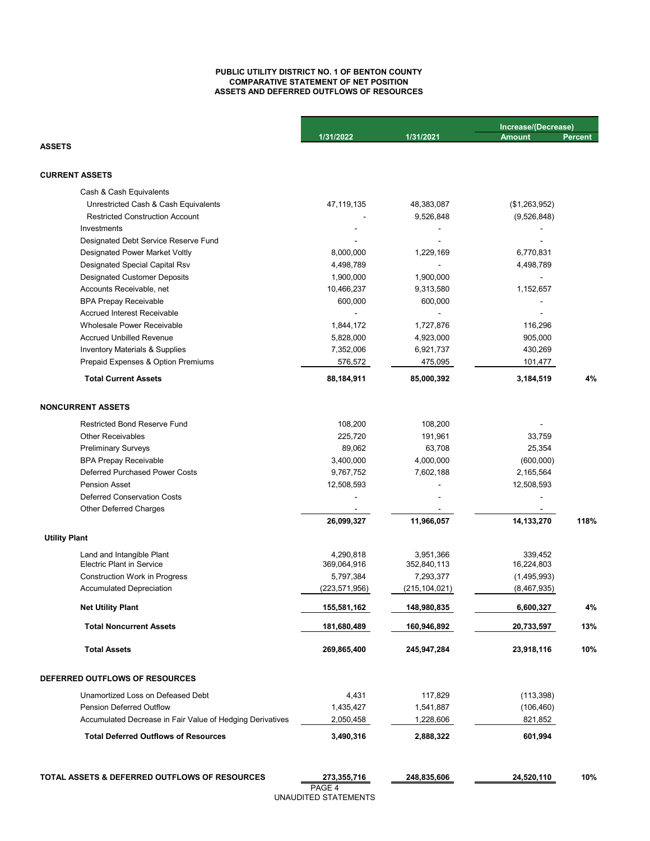## **PUBLIC UTILITY DISTRICT NO. 1 OF BENTON COUNTY COMPARATIVE STATEMENT OF NET POSITION ASSETS AND DEFERRED OUTFLOWS OF RESOURCES**

|                                                           |                 |                 | Increase/(Decrease) |         |
|-----------------------------------------------------------|-----------------|-----------------|---------------------|---------|
|                                                           | 1/31/2022       | 1/31/2021       | <b>Amount</b>       | Percent |
| <b>ASSETS</b>                                             |                 |                 |                     |         |
| <b>CURRENT ASSETS</b>                                     |                 |                 |                     |         |
| Cash & Cash Equivalents                                   |                 |                 |                     |         |
| Unrestricted Cash & Cash Equivalents                      | 47, 119, 135    | 48,383,087      | (\$1,263,952)       |         |
| <b>Restricted Construction Account</b>                    |                 | 9,526,848       | (9,526,848)         |         |
| Investments                                               |                 |                 |                     |         |
| Designated Debt Service Reserve Fund                      |                 |                 |                     |         |
| Designated Power Market Voltly                            | 8,000,000       | 1,229,169       | 6,770,831           |         |
| Designated Special Capital Rsv                            | 4,498,789       |                 | 4,498,789           |         |
| <b>Designated Customer Deposits</b>                       | 1,900,000       | 1,900,000       |                     |         |
| Accounts Receivable, net                                  | 10,466,237      | 9,313,580       | 1,152,657           |         |
| <b>BPA Prepay Receivable</b>                              | 600,000         | 600,000         |                     |         |
| <b>Accrued Interest Receivable</b>                        |                 |                 |                     |         |
| <b>Wholesale Power Receivable</b>                         | 1,844,172       | 1,727,876       | 116,296             |         |
| <b>Accrued Unbilled Revenue</b>                           | 5,828,000       | 4,923,000       | 905,000             |         |
| Inventory Materials & Supplies                            | 7,352,006       | 6,921,737       | 430,269             |         |
| Prepaid Expenses & Option Premiums                        | 576,572         | 475,095         | 101,477             |         |
| <b>Total Current Assets</b>                               | 88,184,911      | 85,000,392      | 3,184,519           | 4%      |
|                                                           |                 |                 |                     |         |
| <b>NONCURRENT ASSETS</b>                                  |                 |                 |                     |         |
| <b>Restricted Bond Reserve Fund</b>                       | 108,200         | 108,200         |                     |         |
| <b>Other Receivables</b>                                  | 225,720         | 191,961         | 33,759              |         |
| <b>Preliminary Surveys</b>                                | 89,062          | 63,708          | 25,354              |         |
| <b>BPA Prepay Receivable</b>                              | 3,400,000       | 4,000,000       | (600,000)           |         |
| <b>Deferred Purchased Power Costs</b>                     | 9,767,752       | 7,602,188       | 2,165,564           |         |
| <b>Pension Asset</b>                                      | 12,508,593      |                 | 12,508,593          |         |
| <b>Deferred Conservation Costs</b>                        |                 |                 |                     |         |
| Other Deferred Charges                                    | 26,099,327      | 11,966,057      | 14,133,270          | 118%    |
| <b>Utility Plant</b>                                      |                 |                 |                     |         |
| Land and Intangible Plant                                 | 4,290,818       | 3,951,366       | 339,452             |         |
| <b>Electric Plant in Service</b>                          | 369,064,916     | 352,840,113     | 16,224,803          |         |
| <b>Construction Work in Progress</b>                      | 5,797,384       | 7,293,377       | (1,495,993)         |         |
| <b>Accumulated Depreciation</b>                           | (223, 571, 956) | (215, 104, 021) | (8,467,935)         |         |
| <b>Net Utility Plant</b>                                  | 155,581,162     | 148,980,835     | 6,600,327           | 4%      |
| <b>Total Noncurrent Assets</b>                            | 181,680,489     | 160,946,892     | 20,733,597          | 13%     |
| <b>Total Assets</b>                                       | 269,865,400     | 245,947,284     | 23,918,116          | 10%     |
|                                                           |                 |                 |                     |         |
| DEFERRED OUTFLOWS OF RESOURCES                            |                 |                 |                     |         |
| Unamortized Loss on Defeased Debt                         | 4,431           | 117,829         | (113, 398)          |         |
| <b>Pension Deferred Outflow</b>                           | 1,435,427       | 1,541,887       | (106, 460)          |         |
| Accumulated Decrease in Fair Value of Hedging Derivatives | 2,050,458       | 1,228,606       | 821,852             |         |
| <b>Total Deferred Outflows of Resources</b>               |                 |                 |                     |         |
|                                                           | 3,490,316       | 2,888,322       | 601,994             |         |

**TOTAL ASSETS & DEFERRED OUTFLOWS OF RESOURCES** 273,355,716 248,835,606 24,520,110 10%

**273,355,716**

PAGE 4 UNAUDITED STATEMENTS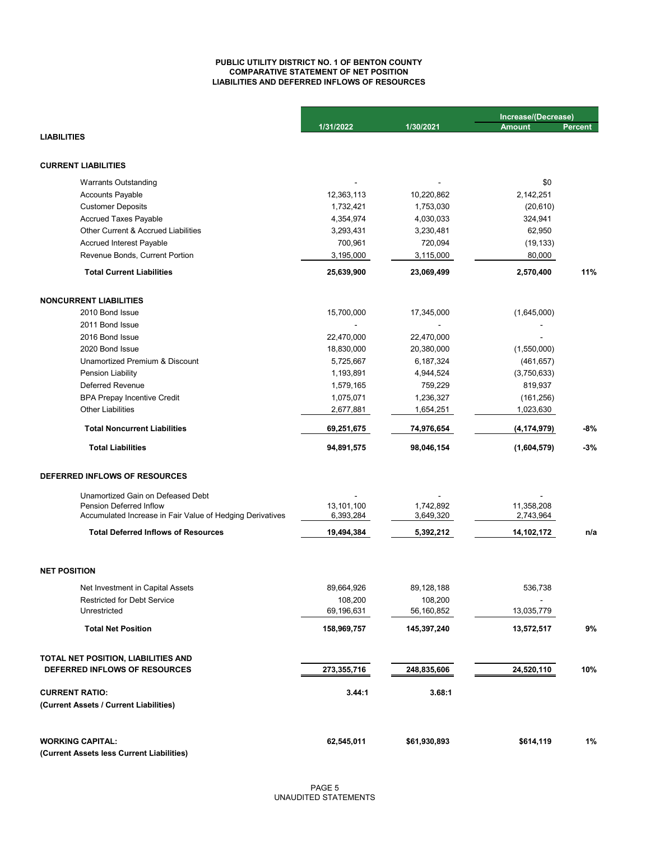## **LIABILITIES AND DEFERRED INFLOWS OF RESOURCES PUBLIC UTILITY DISTRICT NO. 1 OF BENTON COUNTY COMPARATIVE STATEMENT OF NET POSITION**

|                                                           |                       | 1/30/2021             | Increase/(Decrease) |                |
|-----------------------------------------------------------|-----------------------|-----------------------|---------------------|----------------|
| <b>LIABILITIES</b>                                        | 1/31/2022             |                       | <b>Amount</b>       | <b>Percent</b> |
|                                                           |                       |                       |                     |                |
| <b>CURRENT LIABILITIES</b>                                |                       |                       |                     |                |
| <b>Warrants Outstanding</b>                               |                       |                       | \$0                 |                |
| <b>Accounts Payable</b>                                   | 12,363,113            | 10,220,862            | 2,142,251           |                |
| <b>Customer Deposits</b>                                  | 1,732,421             | 1,753,030             | (20, 610)           |                |
| <b>Accrued Taxes Payable</b>                              | 4,354,974             | 4,030,033             | 324,941             |                |
| Other Current & Accrued Liabilities                       | 3,293,431             | 3,230,481             | 62,950              |                |
| <b>Accrued Interest Payable</b>                           | 700,961               | 720,094               | (19, 133)           |                |
| Revenue Bonds, Current Portion                            | 3,195,000             | 3,115,000             | 80,000              |                |
| <b>Total Current Liabilities</b>                          | 25,639,900            | 23,069,499            | 2,570,400           | 11%            |
| <b>NONCURRENT LIABILITIES</b>                             |                       |                       |                     |                |
| 2010 Bond Issue                                           | 15,700,000            | 17,345,000            | (1,645,000)         |                |
| 2011 Bond Issue                                           |                       |                       |                     |                |
| 2016 Bond Issue                                           | 22,470,000            | 22,470,000            |                     |                |
| 2020 Bond Issue                                           | 18,830,000            | 20,380,000            | (1,550,000)         |                |
| Unamortized Premium & Discount                            | 5,725,667             | 6,187,324             | (461, 657)          |                |
| <b>Pension Liability</b>                                  | 1,193,891             | 4,944,524             | (3,750,633)         |                |
| Deferred Revenue                                          | 1,579,165             | 759,229               | 819,937             |                |
| <b>BPA Prepay Incentive Credit</b>                        | 1,075,071             | 1,236,327             | (161, 256)          |                |
| <b>Other Liabilities</b>                                  | 2,677,881             | 1,654,251             | 1,023,630           |                |
| <b>Total Noncurrent Liabilities</b>                       | 69,251,675            | 74,976,654            | (4, 174, 979)       | $-8%$          |
| <b>Total Liabilities</b>                                  | 94,891,575            | 98,046,154            | (1,604,579)         | $-3%$          |
| <b>DEFERRED INFLOWS OF RESOURCES</b>                      |                       |                       |                     |                |
| Unamortized Gain on Defeased Debt                         |                       |                       |                     |                |
| Pension Deferred Inflow                                   | 13,101,100            | 1,742,892             | 11,358,208          |                |
| Accumulated Increase in Fair Value of Hedging Derivatives | 6,393,284             | 3,649,320             | 2,743,964           |                |
| <b>Total Deferred Inflows of Resources</b>                | 19,494,384            | 5,392,212             | 14,102,172          | n/a            |
| <b>NET POSITION</b>                                       |                       |                       |                     |                |
|                                                           |                       |                       |                     |                |
| Net Investment in Capital Assets                          | 89,664,926            | 89,128,188            | 536,738             |                |
| <b>Restricted for Debt Service</b><br>Unrestricted        | 108,200<br>69,196,631 | 108,200<br>56,160,852 | 13,035,779          |                |
|                                                           |                       |                       |                     |                |
| <b>Total Net Position</b>                                 | 158,969,757           | 145,397,240           | 13,572,517          | 9%             |
| TOTAL NET POSITION, LIABILITIES AND                       |                       |                       |                     |                |
| DEFERRED INFLOWS OF RESOURCES                             | 273,355,716           | 248,835,606           | 24,520,110          | 10%            |
| <b>CURRENT RATIO:</b>                                     | 3.44:1                | 3.68:1                |                     |                |
| (Current Assets / Current Liabilities)                    |                       |                       |                     |                |
| <b>WORKING CAPITAL:</b>                                   | 62,545,011            | \$61,930,893          | \$614,119           | 1%             |
| (Current Assets less Current Liabilities)                 |                       |                       |                     |                |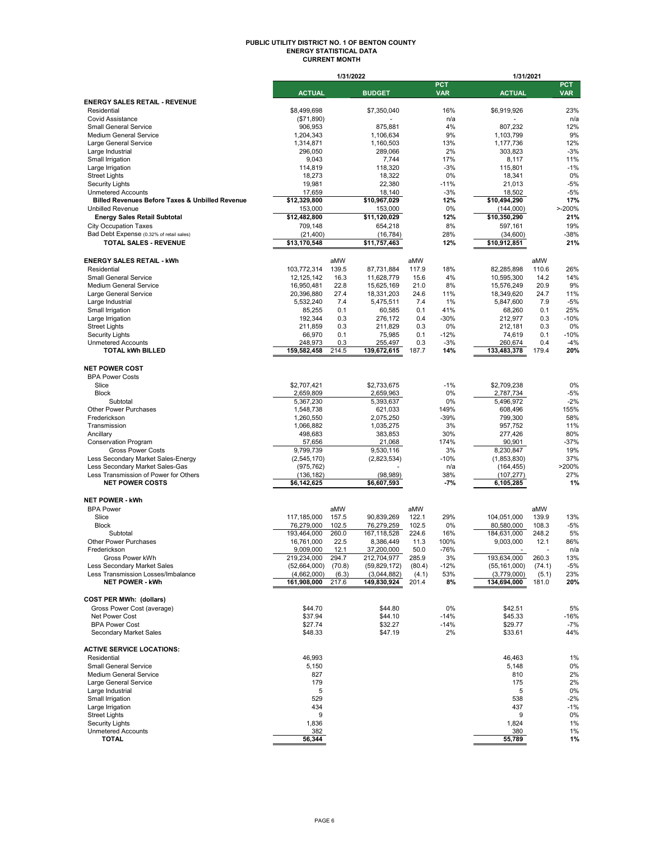#### **PUBLIC UTILITY DISTRICT NO. 1 OF BENTON COUNTY ENERGY STATISTICAL DATA CURRENT MONTH**

|                                                                   |                            | 1/31/2022      |                            |                |                          | 1/31/2021                  |                |                          |
|-------------------------------------------------------------------|----------------------------|----------------|----------------------------|----------------|--------------------------|----------------------------|----------------|--------------------------|
|                                                                   | <b>ACTUAL</b>              |                | <b>BUDGET</b>              |                | <b>PCT</b><br><b>VAR</b> | <b>ACTUAL</b>              |                | <b>PCT</b><br><b>VAR</b> |
| <b>ENERGY SALES RETAIL - REVENUE</b>                              |                            |                |                            |                |                          |                            |                |                          |
| Residential                                                       | \$8.499.698                |                | \$7,350,040                |                | 16%                      | \$6,919,926                |                | 23%                      |
| <b>Covid Assistance</b>                                           | (\$71,890)                 |                |                            |                | n/a                      |                            |                | n/a                      |
| <b>Small General Service</b>                                      | 906,953                    |                | 875,881                    |                | 4%                       | 807,232                    |                | 12%                      |
| Medium General Service                                            | 1,204,343                  |                | 1,106,634                  |                | 9%                       | 1,103,799                  |                | 9%                       |
| Large General Service                                             | 1,314,871                  |                | 1.160.503                  |                | 13%                      | 1,177,736                  |                | 12%                      |
| Large Industrial                                                  | 296,050                    |                | 289,066                    |                | 2%                       | 303.823                    |                | $-3%$                    |
| Small Irrigation<br>Large Irrigation                              | 9,043<br>114,819           |                | 7,744<br>118,320           |                | 17%<br>$-3%$             | 8,117<br>115,801           |                | 11%<br>$-1%$             |
| <b>Street Lights</b>                                              | 18,273                     |                | 18,322                     |                | 0%                       | 18,341                     |                | 0%                       |
| <b>Security Lights</b>                                            | 19,981                     |                | 22,380                     |                | $-11%$                   | 21,013                     |                | $-5%$                    |
| <b>Unmetered Accounts</b>                                         | 17,659                     |                | 18,140                     |                | $-3%$                    | 18,502                     |                | $-5%$                    |
| Billed Revenues Before Taxes & Unbilled Revenue                   | \$12,329,800               |                | \$10,967,029               |                | 12%                      | \$10,494,290               |                | 17%                      |
| <b>Unbilled Revenue</b>                                           | 153,000                    |                | 153,000                    |                | 0%                       | (144,000)                  |                | $> -200%$                |
| <b>Energy Sales Retail Subtotal</b>                               | \$12,482,800               |                | \$11,120,029               |                | 12%                      | \$10,350,290               |                | 21%                      |
| <b>City Occupation Taxes</b>                                      | 709,148                    |                | 654,218                    |                | 8%                       | 597,161                    |                | 19%                      |
| Bad Debt Expense (0.32% of retail sales)                          | (21, 400)                  |                | (16, 784)                  |                | 28%                      | (34,600)                   |                | -38%                     |
| TOTAL SALES - REVENUE                                             | \$13,170,548               |                | \$11,757,463               |                | 12%                      | \$10,912,851               |                | 21%                      |
| <b>ENERGY SALES RETAIL - kWh</b>                                  |                            | aMW            |                            | aMW            |                          |                            | aMW            |                          |
| Residential                                                       | 103,772,314                | 139.5          | 87,731,884                 | 117.9          | 18%                      | 82,285,898                 | 110.6          | 26%                      |
| <b>Small General Service</b>                                      | 12, 125, 142               | 16.3           | 11,628,779                 | 15.6           | 4%                       | 10,595,300                 | 14.2           | 14%                      |
| <b>Medium General Service</b>                                     | 16,950,481                 | 22.8           | 15,625,169                 | 21.0           | 8%                       | 15,576,249                 | 20.9           | 9%                       |
| Large General Service                                             | 20,396,880                 | 27.4           | 18,331,203                 | 24.6           | 11%                      | 18,349,620                 | 24.7           | 11%                      |
| Large Industrial                                                  | 5,532,240                  | 7.4            | 5,475,511                  | 7.4            | 1%                       | 5,847,600                  | 7.9            | $-5%$                    |
| Small Irrigation                                                  | 85,255                     | 0.1            | 60,585                     | 0.1            | 41%                      | 68,260                     | 0.1            | 25%                      |
| Large Irrigation                                                  | 192,344                    | 0.3            | 276,172                    | 0.4            | $-30%$                   | 212,977                    | 0.3            | $-10%$                   |
| <b>Street Lights</b>                                              | 211,859                    | 0.3            | 211,829                    | 0.3            | 0%                       | 212.181                    | 0.3            | 0%                       |
| <b>Security Lights</b><br><b>Unmetered Accounts</b>               | 66,970                     | 0.1<br>0.3     | 75,985                     | 0.1<br>0.3     | $-12%$<br>$-3%$          | 74,619<br>260,674          | 0.1<br>0.4     | $-10%$<br>$-4%$          |
| <b>TOTAL kWh BILLED</b>                                           | 248,973<br>159,582,458     | 214.5          | 255,497<br>139,672,615     | 187.7          | 14%                      | 133,483,378                | 179.4          | 20%                      |
|                                                                   |                            |                |                            |                |                          |                            |                |                          |
| <b>NET POWER COST</b>                                             |                            |                |                            |                |                          |                            |                |                          |
| <b>BPA Power Costs</b>                                            |                            |                |                            |                |                          |                            |                |                          |
| Slice                                                             | \$2,707,421                |                | \$2,733,675                |                | $-1%$                    | \$2,709,238                |                | 0%                       |
| <b>Block</b>                                                      | 2,659,809                  |                | 2,659,963                  |                | 0%                       | 2,787,734                  |                | $-5%$                    |
| Subtotal                                                          | 5,367,230                  |                | 5,393,637                  |                | 0%                       | 5,496,972                  |                | $-2%$                    |
| Other Power Purchases                                             | 1,548,738                  |                | 621,033                    |                | 149%                     | 608,496                    |                | 155%                     |
| Frederickson                                                      | 1,260,550                  |                | 2,075,250                  |                | $-39%$<br>3%             | 799,300                    |                | 58%<br>11%               |
| Transmission<br>Ancillary                                         | 1,066,882<br>498,683       |                | 1,035,275<br>383,853       |                | 30%                      | 957,752<br>277,426         |                | 80%                      |
| <b>Conservation Program</b>                                       | 57,656                     |                | 21,068                     |                | 174%                     | 90,901                     |                | $-37%$                   |
| <b>Gross Power Costs</b>                                          | 9,799,739                  |                | 9,530,116                  |                | 3%                       | 8,230,847                  |                | 19%                      |
| Less Secondary Market Sales-Energy                                | (2, 545, 170)              |                | (2,823,534)                |                | $-10%$                   | (1,853,830)                |                | 37%                      |
| Less Secondary Market Sales-Gas                                   | (975, 762)                 |                |                            |                | n/a                      | (164, 455)                 |                | >200%                    |
| Less Transmission of Power for Others                             | (136, 182)                 |                | (98, 989)                  |                | 38%                      | (107, 277)                 |                | 27%                      |
| <b>NET POWER COSTS</b>                                            | \$6,142,625                |                | \$6,607,593                |                | $-7%$                    | 6,105,285                  |                | 1%                       |
| <b>NET POWER - kWh</b>                                            |                            |                |                            |                |                          |                            |                |                          |
| <b>BPA Power</b>                                                  |                            | aMW            |                            | aMW            |                          |                            | aMW            |                          |
| Slice                                                             | 117,185,000                | 157.5          | 90,839,269                 | 122.1          | 29%                      | 104,051,000                | 139.9          | 13%                      |
| <b>Block</b>                                                      | 76,279,000                 | 102.5          | 76,279,259                 | 102.5          | 0%                       | 80,580,000                 | 108.3          | $-5%$                    |
| Subtotal                                                          | 193,464,000                | 260.0          | 167,118,528                | 224.6          | 16%                      | 184,631,000                | 248.2          | 5%                       |
| Other Power Purchases                                             | 16,761,000                 | 22.5           | 8.386.449                  | 11.3           | 100%                     | 9,003,000                  | 12.1           | 86%                      |
| Frederickson                                                      | 9.009.000                  | 12.1           | 37.200.000                 | 50.0           | -76%                     |                            |                | n/a                      |
| Gross Power kWh                                                   | 219,234,000                | 294.7          | 212,704,977                | 285.9          | 3%                       | 193,634,000                | 260.3          | 13%                      |
| Less Secondary Market Sales<br>Less Transmission Losses/Imbalance | (52,664,000)               | (70.8)         | (59, 829, 172)             | (80.4)         | -12%                     | (55, 161, 000)             | (74.1)         | $-5%$                    |
| <b>NET POWER - kWh</b>                                            | (4,662,000)<br>161,908,000 | (6.3)<br>217.6 | (3,044,882)<br>149,830,924 | (4.1)<br>201.4 | 53%<br>8%                | (3,779,000)<br>134,694,000 | (5.1)<br>181.0 | 23%<br>20%               |
|                                                                   |                            |                |                            |                |                          |                            |                |                          |
| <b>COST PER MWh: (dollars)</b>                                    |                            |                |                            |                |                          |                            |                |                          |
| Gross Power Cost (average)                                        | \$44.70                    |                | \$44.80                    |                | 0%                       | \$42.51                    |                | 5%                       |
| Net Power Cost                                                    | \$37.94                    |                | \$44.10                    |                | -14%                     | \$45.33                    |                | -16%                     |
| <b>BPA Power Cost</b>                                             | \$27.74                    |                | \$32.27                    |                | -14%                     | \$29.77                    |                | -7%                      |
| Secondary Market Sales                                            | \$48.33                    |                | \$47.19                    |                | 2%                       | \$33.61                    |                | 44%                      |
|                                                                   |                            |                |                            |                |                          |                            |                |                          |
| <b>ACTIVE SERVICE LOCATIONS:</b>                                  |                            |                |                            |                |                          |                            |                |                          |
| Residential<br><b>Small General Service</b>                       | 46,993                     |                |                            |                |                          | 46,463                     |                | 1%                       |
| <b>Medium General Service</b>                                     | 5,150<br>827               |                |                            |                |                          | 5,148<br>810               |                | 0%<br>2%                 |
| Large General Service                                             | 179                        |                |                            |                |                          | 175                        |                | 2%                       |
| Large Industrial                                                  | 5                          |                |                            |                |                          | 5                          |                | 0%                       |
| Small Irrigation                                                  | 529                        |                |                            |                |                          | 538                        |                | $-2%$                    |
| Large Irrigation                                                  | 434                        |                |                            |                |                          | 437                        |                | $-1%$                    |
| <b>Street Lights</b>                                              | 9                          |                |                            |                |                          | 9                          |                | 0%                       |
| <b>Security Lights</b>                                            | 1,836                      |                |                            |                |                          | 1,824                      |                | 1%                       |
| <b>Unmetered Accounts</b>                                         | 382                        |                |                            |                |                          | 380                        |                | 1%                       |
| TOTAL                                                             | 56,344                     |                |                            |                |                          | 55,789                     |                | 1%                       |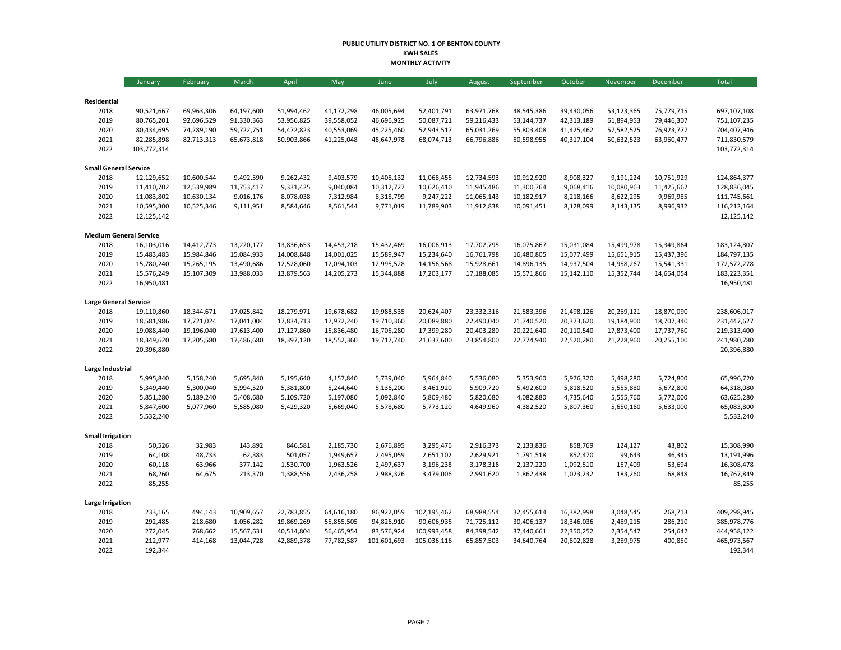#### **PUBLIC UTILITY DISTRICT NO. 1 OF BENTON COUNTY KWH SALES MONTHLY ACTIVITY**

|                               | <b>January</b> | February   | March      | April      | May        | June        | July        | August     | September  | October    | November   | December   | Total       |
|-------------------------------|----------------|------------|------------|------------|------------|-------------|-------------|------------|------------|------------|------------|------------|-------------|
|                               |                |            |            |            |            |             |             |            |            |            |            |            |             |
| Residential                   |                |            |            |            |            |             |             |            |            |            |            |            |             |
| 2018                          | 90,521,667     | 69,963,306 | 64,197,600 | 51,994,462 | 41,172,298 | 46,005,694  | 52,401,791  | 63,971,768 | 48,545,386 | 39,430,056 | 53,123,365 | 75,779,715 | 697,107,108 |
| 2019                          | 80,765,201     | 92,696,529 | 91,330,363 | 53,956,825 | 39,558,052 | 46,696,925  | 50,087,721  | 59,216,433 | 53,144,737 | 42,313,189 | 61,894,953 | 79,446,307 | 751,107,235 |
| 2020                          | 80,434,695     | 74,289,190 | 59,722,751 | 54,472,823 | 40,553,069 | 45,225,460  | 52,943,517  | 65,031,269 | 55,803,408 | 41,425,462 | 57,582,525 | 76,923,777 | 704,407,946 |
| 2021                          | 82,285,898     | 82,713,313 | 65,673,818 | 50,903,866 | 41,225,048 | 48,647,978  | 68,074,713  | 66,796,886 | 50,598,955 | 40,317,104 | 50,632,523 | 63,960,477 | 711,830,579 |
| 2022                          | 103,772,314    |            |            |            |            |             |             |            |            |            |            |            | 103,772,314 |
| <b>Small General Service</b>  |                |            |            |            |            |             |             |            |            |            |            |            |             |
| 2018                          | 12,129,652     | 10,600,544 | 9,492,590  | 9,262,432  | 9,403,579  | 10,408,132  | 11,068,455  | 12,734,593 | 10,912,920 | 8,908,327  | 9,191,224  | 10,751,929 | 124,864,377 |
| 2019                          | 11,410,702     | 12,539,989 | 11,753,417 | 9,331,425  | 9,040,084  | 10,312,727  | 10,626,410  | 11,945,486 | 11,300,764 | 9,068,416  | 10,080,963 | 11,425,662 | 128,836,045 |
| 2020                          | 11,083,802     | 10,630,134 | 9,016,176  | 8,078,038  | 7,312,984  | 8,318,799   | 9,247,222   | 11,065,143 | 10,182,917 | 8,218,166  | 8,622,295  | 9,969,985  | 111,745,661 |
| 2021                          | 10,595,300     | 10,525,346 | 9,111,951  | 8,584,646  | 8,561,544  | 9,771,019   | 11,789,903  | 11,912,838 | 10,091,451 | 8,128,099  | 8,143,135  | 8,996,932  | 116,212,164 |
| 2022                          | 12,125,142     |            |            |            |            |             |             |            |            |            |            |            | 12,125,142  |
| <b>Medium General Service</b> |                |            |            |            |            |             |             |            |            |            |            |            |             |
| 2018                          | 16,103,016     | 14,412,773 | 13,220,177 | 13,836,653 | 14,453,218 | 15,432,469  | 16,006,913  | 17,702,795 | 16,075,867 | 15,031,084 | 15,499,978 | 15,349,864 | 183,124,807 |
| 2019                          | 15,483,483     | 15,984,846 | 15,084,933 | 14,008,848 | 14,001,025 | 15,589,947  | 15,234,640  | 16,761,798 | 16,480,805 | 15,077,499 | 15,651,915 | 15,437,396 | 184,797,135 |
| 2020                          | 15,780,240     | 15,265,195 | 13,490,686 | 12,528,060 | 12,094,103 | 12,995,528  | 14,156,568  | 15,928,661 | 14,896,135 | 14,937,504 | 14,958,267 | 15,541,331 | 172,572,278 |
| 2021                          | 15,576,249     | 15,107,309 | 13,988,033 | 13,879,563 | 14,205,273 | 15,344,888  | 17,203,177  | 17,188,085 | 15,571,866 | 15,142,110 | 15,352,744 | 14,664,054 | 183,223,351 |
| 2022                          | 16,950,481     |            |            |            |            |             |             |            |            |            |            |            | 16,950,481  |
| <b>Large General Service</b>  |                |            |            |            |            |             |             |            |            |            |            |            |             |
| 2018                          | 19,110,860     | 18,344,671 | 17,025,842 | 18,279,971 | 19,678,682 | 19,988,535  | 20,624,407  | 23,332,316 | 21,583,396 | 21,498,126 | 20,269,121 | 18,870,090 | 238,606,017 |
| 2019                          | 18,581,986     | 17,721,024 | 17,041,004 | 17,834,713 | 17,972,240 | 19,710,360  | 20,089,880  | 22,490,040 | 21,740,520 | 20,373,620 | 19,184,900 | 18,707,340 | 231,447,627 |
| 2020                          | 19,088,440     | 19,196,040 | 17,613,400 | 17,127,860 | 15,836,480 | 16,705,280  | 17,399,280  | 20,403,280 | 20,221,640 | 20,110,540 | 17,873,400 | 17,737,760 | 219,313,400 |
| 2021                          | 18,349,620     | 17,205,580 | 17,486,680 | 18,397,120 | 18,552,360 | 19,717,740  | 21,637,600  | 23,854,800 | 22,774,940 | 22,520,280 | 21,228,960 | 20,255,100 | 241,980,780 |
| 2022                          | 20,396,880     |            |            |            |            |             |             |            |            |            |            |            | 20,396,880  |
|                               |                |            |            |            |            |             |             |            |            |            |            |            |             |
| Large Industrial              |                |            |            |            |            |             |             |            |            |            |            |            |             |
| 2018                          | 5,995,840      | 5,158,240  | 5,695,840  | 5,195,640  | 4,157,840  | 5,739,040   | 5,964,840   | 5,536,080  | 5,353,960  | 5,976,320  | 5,498,280  | 5,724,800  | 65,996,720  |
| 2019                          | 5,349,440      | 5,300,040  | 5,994,520  | 5,381,800  | 5,244,640  | 5,136,200   | 3,461,920   | 5,909,720  | 5,492,600  | 5,818,520  | 5,555,880  | 5,672,800  | 64,318,080  |
| 2020                          | 5,851,280      | 5,189,240  | 5,408,680  | 5,109,720  | 5,197,080  | 5,092,840   | 5,809,480   | 5,820,680  | 4,082,880  | 4,735,640  | 5,555,760  | 5,772,000  | 63,625,280  |
| 2021                          | 5,847,600      | 5,077,960  | 5,585,080  | 5,429,320  | 5,669,040  | 5,578,680   | 5,773,120   | 4,649,960  | 4,382,520  | 5,807,360  | 5,650,160  | 5,633,000  | 65,083,800  |
| 2022                          | 5,532,240      |            |            |            |            |             |             |            |            |            |            |            | 5,532,240   |
| <b>Small Irrigation</b>       |                |            |            |            |            |             |             |            |            |            |            |            |             |
| 2018                          | 50,526         | 32,983     | 143,892    | 846,581    | 2,185,730  | 2,676,895   | 3,295,476   | 2,916,373  | 2,133,836  | 858,769    | 124,127    | 43,802     | 15,308,990  |
| 2019                          | 64,108         | 48,733     | 62,383     | 501,057    | 1,949,657  | 2,495,059   | 2,651,102   | 2,629,921  | 1,791,518  | 852,470    | 99,643     | 46,345     | 13,191,996  |
| 2020                          | 60,118         | 63,966     | 377,142    | 1,530,700  | 1,963,526  | 2,497,637   | 3,196,238   | 3,178,318  | 2,137,220  | 1,092,510  | 157,409    | 53,694     | 16,308,478  |
| 2021                          | 68,260         | 64,675     | 213,370    | 1,388,556  | 2,436,258  | 2,988,326   | 3,479,006   | 2,991,620  | 1,862,438  | 1,023,232  | 183,260    | 68,848     | 16,767,849  |
| 2022                          | 85,255         |            |            |            |            |             |             |            |            |            |            |            | 85,255      |
| Large Irrigation              |                |            |            |            |            |             |             |            |            |            |            |            |             |
| 2018                          | 233,165        | 494,143    | 10,909,657 | 22,783,855 | 64,616,180 | 86,922,059  | 102,195,462 | 68,988,554 | 32,455,614 | 16,382,998 | 3,048,545  | 268,713    | 409,298,945 |
| 2019                          | 292,485        | 218,680    | 1,056,282  | 19,869,269 | 55,855,505 | 94,826,910  | 90,606,935  | 71,725,112 | 30,406,137 | 18,346,036 | 2,489,215  | 286,210    | 385,978,776 |
| 2020                          | 272,045        | 768,662    | 15,567,631 | 40,514,804 | 56,465,954 | 83,576,924  | 100,993,458 | 84,398,542 | 37,440,661 | 22,350,252 | 2,354,547  | 254,642    | 444,958,122 |
| 2021                          | 212,977        | 414,168    | 13,044,728 | 42,889,378 | 77,782,587 | 101,601,693 | 105,036,116 | 65,857,503 | 34,640,764 | 20,802,828 | 3,289,975  | 400,850    | 465,973,567 |
| 2022                          | 192,344        |            |            |            |            |             |             |            |            |            |            |            | 192,344     |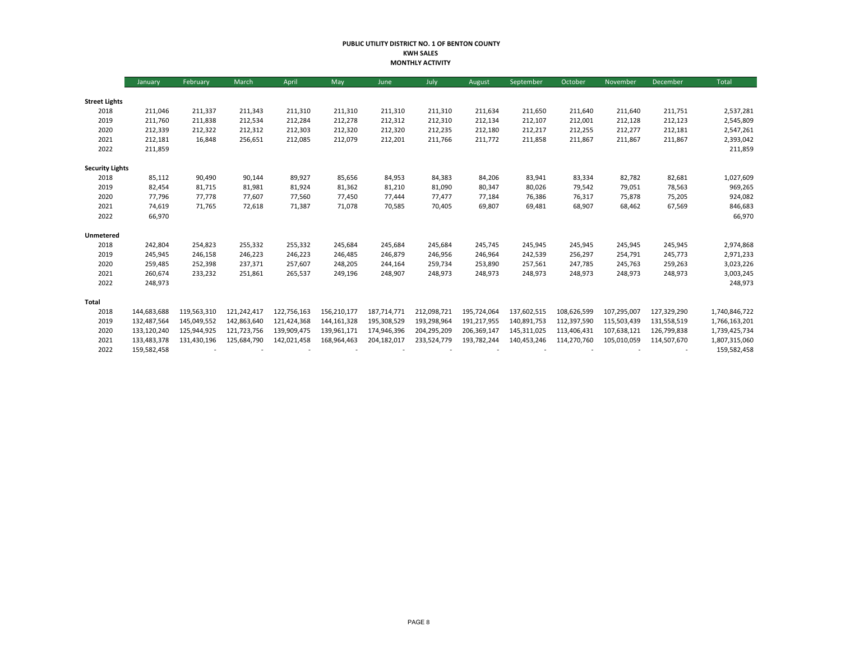#### **PUBLIC UTILITY DISTRICT NO. 1 OF BENTON COUNTY KWH SALES MONTHLY ACTIVITY**

|                        | January     | February    | March       | April       | May           | June        | July        | August      | September   | October     | November    | December    | Total         |
|------------------------|-------------|-------------|-------------|-------------|---------------|-------------|-------------|-------------|-------------|-------------|-------------|-------------|---------------|
|                        |             |             |             |             |               |             |             |             |             |             |             |             |               |
| <b>Street Lights</b>   |             |             |             |             |               |             |             |             |             |             |             |             |               |
| 2018                   | 211,046     | 211,337     | 211,343     | 211,310     | 211,310       | 211,310     | 211,310     | 211,634     | 211,650     | 211,640     | 211,640     | 211,751     | 2,537,281     |
| 2019                   | 211,760     | 211,838     | 212,534     | 212,284     | 212,278       | 212,312     | 212,310     | 212,134     | 212,107     | 212,001     | 212,128     | 212,123     | 2,545,809     |
| 2020                   | 212,339     | 212,322     | 212,312     | 212,303     | 212,320       | 212,320     | 212,235     | 212,180     | 212,217     | 212,255     | 212,277     | 212,181     | 2,547,261     |
| 2021                   | 212,181     | 16,848      | 256,651     | 212,085     | 212,079       | 212,201     | 211,766     | 211,772     | 211,858     | 211,867     | 211,867     | 211,867     | 2,393,042     |
| 2022                   | 211,859     |             |             |             |               |             |             |             |             |             |             |             | 211,859       |
| <b>Security Lights</b> |             |             |             |             |               |             |             |             |             |             |             |             |               |
| 2018                   | 85,112      | 90,490      | 90,144      | 89,927      | 85,656        | 84,953      | 84,383      | 84,206      | 83,941      | 83,334      | 82,782      | 82,681      | 1,027,609     |
| 2019                   | 82,454      | 81,715      | 81,981      | 81,924      | 81,362        | 81,210      | 81,090      | 80,347      | 80,026      | 79,542      | 79,051      | 78,563      | 969,265       |
| 2020                   | 77,796      | 77,778      | 77,607      | 77,560      | 77,450        | 77,444      | 77,477      | 77,184      | 76,386      | 76,317      | 75,878      | 75,205      | 924,082       |
| 2021                   | 74,619      | 71,765      | 72,618      | 71,387      | 71,078        | 70,585      | 70,405      | 69,807      | 69,481      | 68,907      | 68,462      | 67,569      | 846,683       |
| 2022                   | 66,970      |             |             |             |               |             |             |             |             |             |             |             | 66,970        |
| Unmetered              |             |             |             |             |               |             |             |             |             |             |             |             |               |
| 2018                   | 242,804     | 254,823     | 255,332     | 255,332     | 245,684       | 245,684     | 245,684     | 245,745     | 245,945     | 245,945     | 245,945     | 245,945     | 2,974,868     |
| 2019                   | 245,945     | 246,158     | 246,223     | 246,223     | 246,485       | 246,879     | 246,956     | 246,964     | 242,539     | 256,297     | 254,791     | 245,773     | 2,971,233     |
| 2020                   | 259,485     | 252,398     | 237,371     | 257,607     | 248,205       | 244,164     | 259,734     | 253,890     | 257,561     | 247,785     | 245,763     | 259,263     | 3,023,226     |
| 2021                   | 260,674     | 233,232     | 251,861     | 265,537     | 249,196       | 248,907     | 248,973     | 248,973     | 248,973     | 248,973     | 248,973     | 248,973     | 3,003,245     |
| 2022                   | 248,973     |             |             |             |               |             |             |             |             |             |             |             | 248,973       |
| <b>Total</b>           |             |             |             |             |               |             |             |             |             |             |             |             |               |
| 2018                   | 144,683,688 | 119,563,310 | 121,242,417 | 122,756,163 | 156,210,177   | 187,714,771 | 212,098,721 | 195,724,064 | 137,602,515 | 108,626,599 | 107,295,007 | 127,329,290 | 1,740,846,722 |
| 2019                   | 132,487,564 | 145,049,552 | 142,863,640 | 121,424,368 | 144, 161, 328 | 195,308,529 | 193,298,964 | 191,217,955 | 140,891,753 | 112,397,590 | 115,503,439 | 131,558,519 | 1,766,163,201 |
| 2020                   | 133,120,240 | 125,944,925 | 121,723,756 | 139,909,475 | 139,961,171   | 174,946,396 | 204,295,209 | 206,369,147 | 145,311,025 | 113,406,431 | 107,638,121 | 126,799,838 | 1,739,425,734 |
| 2021                   | 133,483,378 | 131,430,196 | 125,684,790 | 142,021,458 | 168,964,463   | 204,182,017 | 233,524,779 | 193,782,244 | 140,453,246 | 114,270,760 | 105,010,059 | 114,507,670 | 1,807,315,060 |
| 2022                   | 159,582,458 |             |             |             |               |             |             |             |             |             |             |             | 159,582,458   |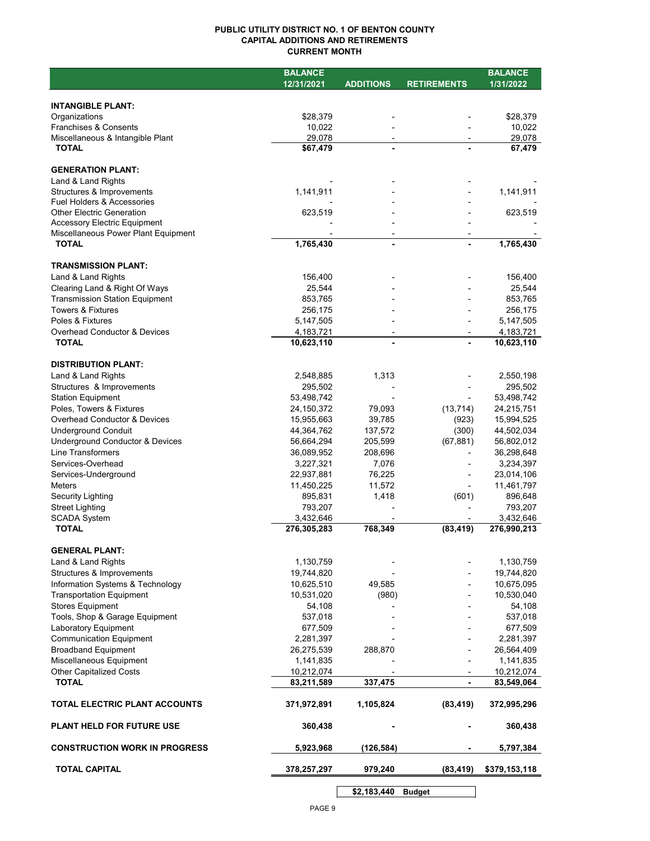## **PUBLIC UTILITY DISTRICT NO. 1 OF BENTON COUNTY CAPITAL ADDITIONS AND RETIREMENTS CURRENT MONTH**

|                                                               | <b>BALANCE</b>           |                  |                    | <b>BALANCE</b>           |
|---------------------------------------------------------------|--------------------------|------------------|--------------------|--------------------------|
|                                                               | 12/31/2021               | <b>ADDITIONS</b> | <b>RETIREMENTS</b> | 1/31/2022                |
| <b>INTANGIBLE PLANT:</b>                                      |                          |                  |                    |                          |
| Organizations                                                 | \$28,379                 |                  |                    | \$28,379                 |
| <b>Franchises &amp; Consents</b>                              | 10,022                   |                  |                    | 10,022                   |
| Miscellaneous & Intangible Plant                              | 29,078                   |                  |                    | 29,078                   |
| <b>TOTAL</b>                                                  | \$67,479                 |                  |                    | 67,479                   |
|                                                               |                          |                  |                    |                          |
| <b>GENERATION PLANT:</b>                                      |                          |                  |                    |                          |
| Land & Land Rights                                            |                          |                  |                    |                          |
| Structures & Improvements<br>Fuel Holders & Accessories       | 1,141,911                |                  |                    | 1,141,911                |
| <b>Other Electric Generation</b>                              | 623,519                  |                  |                    | 623,519                  |
| Accessory Electric Equipment                                  |                          |                  |                    |                          |
| Miscellaneous Power Plant Equipment                           |                          |                  |                    |                          |
| <b>TOTAL</b>                                                  | 1,765,430                |                  |                    | 1,765,430                |
| <b>TRANSMISSION PLANT:</b>                                    |                          |                  |                    |                          |
| Land & Land Rights                                            | 156,400                  |                  |                    | 156,400                  |
| Clearing Land & Right Of Ways                                 | 25,544                   |                  |                    | 25,544                   |
| <b>Transmission Station Equipment</b>                         | 853,765                  |                  |                    | 853,765                  |
| Towers & Fixtures                                             | 256,175                  |                  |                    | 256,175                  |
| Poles & Fixtures                                              | 5,147,505                |                  |                    | 5,147,505                |
| <b>Overhead Conductor &amp; Devices</b>                       | 4,183,721                | $\blacksquare$   | $\overline{a}$     | 4,183,721                |
| <b>TOTAL</b>                                                  | 10,623,110               |                  |                    | 10,623,110               |
| <b>DISTRIBUTION PLANT:</b>                                    |                          |                  |                    |                          |
| Land & Land Rights                                            | 2,548,885                | 1,313            |                    | 2,550,198                |
| Structures & Improvements                                     | 295,502                  |                  |                    | 295,502                  |
| <b>Station Equipment</b>                                      | 53,498,742               |                  |                    | 53,498,742               |
| Poles, Towers & Fixtures                                      | 24,150,372               | 79,093           | (13, 714)          | 24,215,751               |
| <b>Overhead Conductor &amp; Devices</b>                       | 15,955,663               | 39,785           | (923)              | 15,994,525               |
| <b>Underground Conduit</b>                                    | 44,364,762               | 137,572          | (300)              | 44,502,034               |
| <b>Underground Conductor &amp; Devices</b>                    | 56,664,294               | 205,599          | (67, 881)          | 56,802,012               |
| Line Transformers                                             | 36,089,952               | 208,696          |                    | 36,298,648               |
| Services-Overhead                                             | 3,227,321                | 7,076            |                    | 3,234,397                |
| Services-Underground                                          | 22,937,881               | 76,225           |                    | 23,014,106               |
| <b>Meters</b>                                                 | 11,450,225               | 11,572           |                    | 11,461,797               |
| <b>Security Lighting</b>                                      | 895,831<br>793,207       | 1,418            | (601)              | 896,648                  |
| <b>Street Lighting</b><br><b>SCADA System</b>                 | 3,432,646                |                  |                    | 793,207<br>3,432,646     |
| <b>TOTAL</b>                                                  | 276,305,283              | 768,349          | (83, 419)          | 276,990,213              |
|                                                               |                          |                  |                    |                          |
| <b>GENERAL PLANT:</b>                                         |                          |                  |                    |                          |
| Land & Land Rights                                            | 1,130,759                |                  |                    | 1,130,759                |
| Structures & Improvements<br>Information Systems & Technology | 19,744,820               |                  |                    | 19,744,820               |
| <b>Transportation Equipment</b>                               | 10,625,510<br>10,531,020 | 49,585<br>(980)  |                    | 10,675,095<br>10,530,040 |
| <b>Stores Equipment</b>                                       | 54,108                   |                  |                    | 54,108                   |
| Tools, Shop & Garage Equipment                                | 537,018                  |                  |                    | 537,018                  |
| Laboratory Equipment                                          | 677,509                  |                  |                    | 677,509                  |
| <b>Communication Equipment</b>                                | 2,281,397                |                  |                    | 2,281,397                |
| <b>Broadband Equipment</b>                                    | 26,275,539               | 288,870          |                    | 26,564,409               |
| Miscellaneous Equipment                                       | 1,141,835                |                  |                    | 1,141,835                |
| <b>Other Capitalized Costs</b>                                | 10,212,074               |                  |                    | 10,212,074               |
| <b>TOTAL</b>                                                  | 83,211,589               | 337,475          | $\blacksquare$     | 83,549,064               |
| TOTAL ELECTRIC PLANT ACCOUNTS                                 | 371,972,891              | 1,105,824        | (83, 419)          | 372,995,296              |
| PLANT HELD FOR FUTURE USE                                     | 360,438                  |                  |                    | 360,438                  |
| <b>CONSTRUCTION WORK IN PROGRESS</b>                          | 5,923,968                | (126,584)        |                    | 5,797,384                |
| <b>TOTAL CAPITAL</b>                                          | 378,257,297              | 979,240          | (83, 419)          | \$379,153,118            |
|                                                               |                          | \$2,183,440      | <b>Budget</b>      |                          |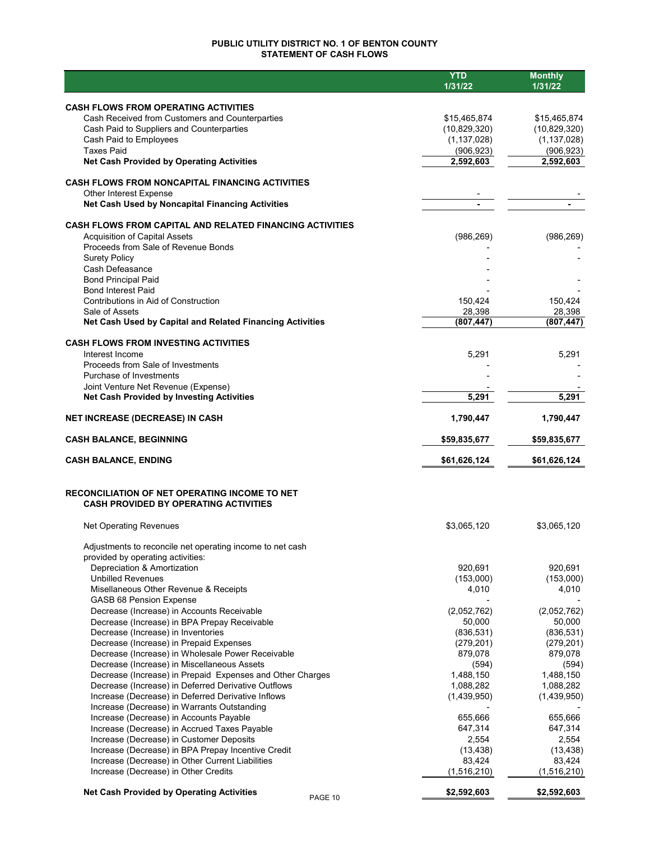## **PUBLIC UTILITY DISTRICT NO. 1 OF BENTON COUNTY STATEMENT OF CASH FLOWS**

|                                                                                                  | <b>YTD</b>         | <b>Monthly</b>        |
|--------------------------------------------------------------------------------------------------|--------------------|-----------------------|
|                                                                                                  | 1/31/22            | 1/31/22               |
| <b>CASH FLOWS FROM OPERATING ACTIVITIES</b>                                                      |                    |                       |
| Cash Received from Customers and Counterparties                                                  | \$15,465,874       | \$15,465,874          |
| Cash Paid to Suppliers and Counterparties                                                        | (10,829,320)       | (10,829,320)          |
| Cash Paid to Employees                                                                           | (1, 137, 028)      | (1, 137, 028)         |
| <b>Taxes Paid</b>                                                                                | (906, 923)         | (906, 923)            |
| <b>Net Cash Provided by Operating Activities</b>                                                 | 2,592,603          | 2,592,603             |
| <b>CASH FLOWS FROM NONCAPITAL FINANCING ACTIVITIES</b>                                           |                    |                       |
| Other Interest Expense                                                                           |                    |                       |
| Net Cash Used by Noncapital Financing Activities                                                 |                    |                       |
| <b>CASH FLOWS FROM CAPITAL AND RELATED FINANCING ACTIVITIES</b>                                  |                    |                       |
| <b>Acquisition of Capital Assets</b>                                                             | (986, 269)         | (986, 269)            |
| Proceeds from Sale of Revenue Bonds                                                              |                    |                       |
| <b>Surety Policy</b>                                                                             |                    |                       |
| Cash Defeasance                                                                                  |                    |                       |
| <b>Bond Principal Paid</b>                                                                       |                    |                       |
| <b>Bond Interest Paid</b><br>Contributions in Aid of Construction                                |                    |                       |
| Sale of Assets                                                                                   | 150,424<br>28,398  | 150,424<br>28,398     |
| Net Cash Used by Capital and Related Financing Activities                                        | (807, 447)         | (807, 447)            |
|                                                                                                  |                    |                       |
| <b>CASH FLOWS FROM INVESTING ACTIVITIES</b><br>Interest Income                                   |                    |                       |
| Proceeds from Sale of Investments                                                                | 5,291              | 5,291                 |
| Purchase of Investments                                                                          |                    |                       |
| Joint Venture Net Revenue (Expense)                                                              |                    |                       |
| <b>Net Cash Provided by Investing Activities</b>                                                 | 5,291              | 5,291                 |
| <b>NET INCREASE (DECREASE) IN CASH</b>                                                           | 1,790,447          | 1,790,447             |
| <b>CASH BALANCE, BEGINNING</b>                                                                   | \$59,835,677       | \$59,835,677          |
| <b>CASH BALANCE, ENDING</b>                                                                      | \$61,626,124       | \$61,626,124          |
|                                                                                                  |                    |                       |
| <b>RECONCILIATION OF NET OPERATING INCOME TO NET</b>                                             |                    |                       |
| <b>CASH PROVIDED BY OPERATING ACTIVITIES</b>                                                     |                    |                       |
| <b>Net Operating Revenues</b>                                                                    | \$3,065,120        | \$3,065,120           |
| Adjustments to reconcile net operating income to net cash                                        |                    |                       |
| provided by operating activities:                                                                |                    |                       |
| Depreciation & Amortization                                                                      | 920,691            | 920,691               |
| <b>Unbilled Revenues</b>                                                                         | (153,000)          | (153,000)             |
| Misellaneous Other Revenue & Receipts                                                            | 4,010              | 4,010                 |
| <b>GASB 68 Pension Expense</b>                                                                   |                    |                       |
| Decrease (Increase) in Accounts Receivable                                                       | (2,052,762)        | (2,052,762)           |
| Decrease (Increase) in BPA Prepay Receivable                                                     | 50,000             | 50,000                |
| Decrease (Increase) in Inventories                                                               | (836, 531)         | (836, 531)            |
| Decrease (Increase) in Prepaid Expenses                                                          | (279, 201)         | (279, 201)<br>879,078 |
| Decrease (Increase) in Wholesale Power Receivable<br>Decrease (Increase) in Miscellaneous Assets | 879,078            |                       |
| Decrease (Increase) in Prepaid Expenses and Other Charges                                        | (594)<br>1,488,150 | (594)<br>1,488,150    |
| Decrease (Increase) in Deferred Derivative Outflows                                              | 1,088,282          | 1,088,282             |
| Increase (Decrease) in Deferred Derivative Inflows                                               | (1,439,950)        |                       |
| Increase (Decrease) in Warrants Outstanding                                                      |                    | (1,439,950)           |
| Increase (Decrease) in Accounts Payable                                                          | 655,666            | 655,666               |
| Increase (Decrease) in Accrued Taxes Payable                                                     | 647,314            | 647,314               |
| Increase (Decrease) in Customer Deposits                                                         | 2,554              | 2,554                 |
| Increase (Decrease) in BPA Prepay Incentive Credit                                               | (13, 438)          | (13, 438)             |
| Increase (Decrease) in Other Current Liabilities                                                 | 83,424             | 83,424                |
| Increase (Decrease) in Other Credits                                                             | (1,516,210)        | (1,516,210)           |
| <b>Net Cash Provided by Operating Activities</b>                                                 | \$2,592,603        | \$2,592,603           |
| PAGE 10                                                                                          |                    |                       |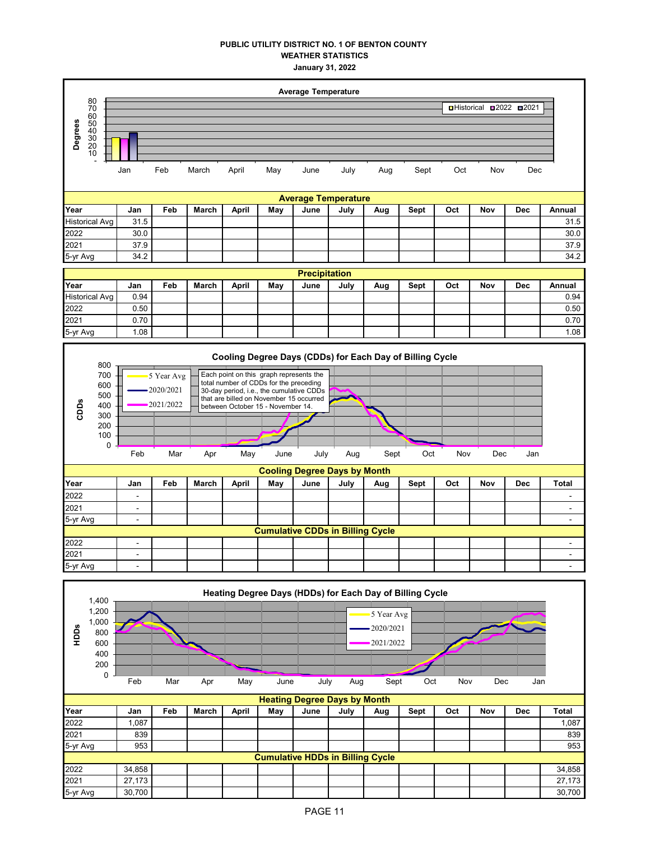## **PUBLIC UTILITY DISTRICT NO. 1 OF BENTON COUNTY WEATHER STATISTICS January 31, 2022**





**Cumulative CDDs in Billing Cycle** 2022 | - | | | | | | | | | | | | | | |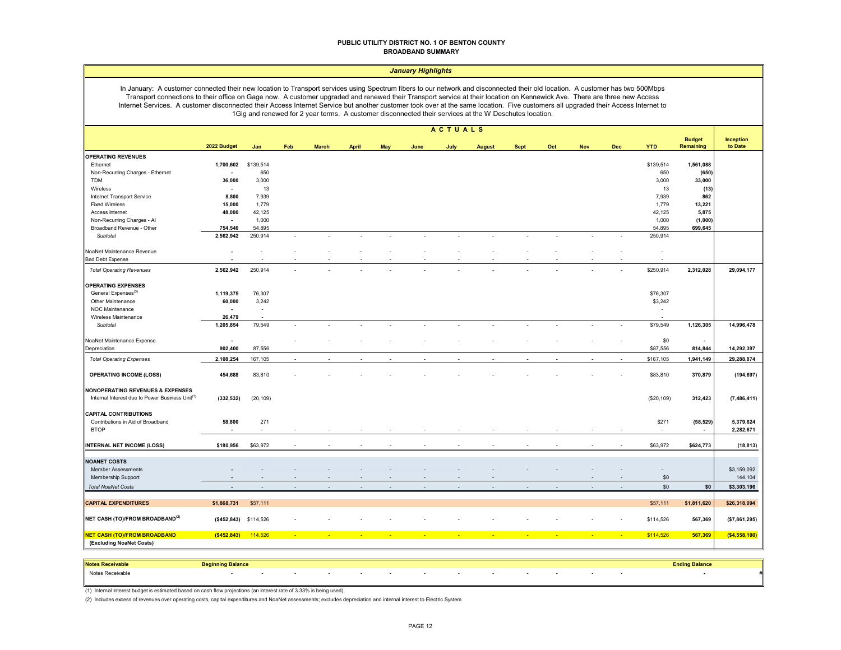#### **PUBLIC UTILITY DISTRICT NO. 1 OF BENTON COUNTY BROADBAND SUMMARY**

#### *January Highlights*

In January: A customer connected their new location to Transport services using Spectrum fibers to our network and disconnected their old location. A customer has two 500Mbps Transport connections to their office on Gage now. A customer upgraded and renewed their Transport service at their location on Kennewick Ave. There are three new Access Internet Services. A customer disconnected their Access Internet Service but another customer took over at the same location. Five customers all upgraded their Access Internet to 1Gig and renewed for 2 year terms. A customer disconnected their services at the W Deschutes location.

|                                                             |                                    |                       |        |              |                          |            |        | <b>ACTUALS</b>           |                          |             |              |              |            |             |                                   |                      |
|-------------------------------------------------------------|------------------------------------|-----------------------|--------|--------------|--------------------------|------------|--------|--------------------------|--------------------------|-------------|--------------|--------------|------------|-------------|-----------------------------------|----------------------|
|                                                             | 2022 Budget                        | Jan                   | Feb    | <b>March</b> | <b>April</b>             | <b>May</b> | June   | July                     | <b>August</b>            | <b>Sept</b> | Oct          | <b>Nov</b>   | <b>Dec</b> | <b>YTD</b>  | <b>Budget</b><br><b>Remaining</b> | Inception<br>to Date |
| <b>OPERATING REVENUES</b>                                   |                                    |                       |        |              |                          |            |        |                          |                          |             |              |              |            |             |                                   |                      |
| Ethernet                                                    | 1,700,602                          | \$139,514             |        |              |                          |            |        |                          |                          |             |              |              |            | \$139,514   | 1,561,088                         |                      |
| Non-Recurring Charges - Ethernet                            | $\overline{\phantom{a}}$           | 650                   |        |              |                          |            |        |                          |                          |             |              |              |            | 650         | (650)                             |                      |
| <b>TDM</b>                                                  | 36,000                             | 3,000                 |        |              |                          |            |        |                          |                          |             |              |              |            | 3,000       | 33,000                            |                      |
| Wireless                                                    | $\blacksquare$                     | 13                    |        |              |                          |            |        |                          |                          |             |              |              |            | 13          | (13)                              |                      |
| Internet Transport Service                                  | 8,800                              | 7,939                 |        |              |                          |            |        |                          |                          |             |              |              |            | 7,939       | 862                               |                      |
| <b>Fixed Wireless</b>                                       | 15,000                             | 1,779                 |        |              |                          |            |        |                          |                          |             |              |              |            | 1,779       | 13,221                            |                      |
| Access Internet                                             | 48,000                             | 42,125                |        |              |                          |            |        |                          |                          |             |              |              |            | 42,125      | 5,875                             |                      |
| Non-Recurring Charges - Al                                  | $\sim$                             | 1,000                 |        |              |                          |            |        |                          |                          |             |              |              |            | 1,000       | (1,000)                           |                      |
| Broadband Revenue - Other                                   | 754,540                            | 54,895                |        |              |                          |            |        |                          |                          |             |              |              |            | 54,895      | 699,645                           |                      |
| Subtotal                                                    | 2,562,942                          | 250,914               |        |              |                          |            |        |                          |                          |             |              |              |            | 250,914     |                                   |                      |
| NoaNet Maintenance Revenue                                  | ٠                                  |                       |        |              |                          |            |        |                          |                          |             |              |              |            |             |                                   |                      |
|                                                             |                                    |                       |        |              |                          |            |        |                          |                          |             |              |              |            |             |                                   |                      |
| <b>Bad Debt Expense</b><br><b>Total Operating Revenues</b>  | 2,562,942                          | 250,914               |        |              |                          |            |        |                          |                          |             |              |              |            | \$250,914   | 2,312,028                         | 29,094,177           |
|                                                             |                                    |                       |        |              |                          |            |        |                          |                          |             |              |              |            |             |                                   |                      |
| <b>OPERATING EXPENSES</b>                                   |                                    |                       |        |              |                          |            |        |                          |                          |             |              |              |            |             |                                   |                      |
| General Expenses <sup>(3)</sup>                             | 1,119,375                          | 76,307                |        |              |                          |            |        |                          |                          |             |              |              |            | \$76,307    |                                   |                      |
| Other Maintenance                                           | 60,000                             | 3,242                 |        |              |                          |            |        |                          |                          |             |              |              |            | \$3,242     |                                   |                      |
| NOC Maintenance                                             | $\blacksquare$                     | $\sim$                |        |              |                          |            |        |                          |                          |             |              |              |            | $\sim$      |                                   |                      |
| Wireless Maintenance                                        | 26,479                             |                       |        |              |                          |            |        |                          |                          |             |              |              |            |             |                                   |                      |
| Subtotal                                                    | 1,205,854                          | 79,549                | $\sim$ |              | $\sim$                   | $\sim$     | $\sim$ | $\sim$                   | $\overline{\phantom{a}}$ | $\sim$      | $\sim$       | $\sim$       | $\sim$     | \$79,549    | 1,126,305                         | 14,996,478           |
| NoaNet Maintenance Expense                                  | $\blacksquare$                     | $\sim$                |        |              |                          |            |        |                          |                          |             |              |              |            | \$0         |                                   |                      |
| Depreciation                                                | 902,400                            | 87,556                |        |              |                          |            |        |                          |                          |             |              |              |            | \$87,556    | 814,844                           | 14,292,397           |
| <b>Total Operating Expenses</b>                             | 2,108,254                          | 167,105               | ÷.     | $\sim$       | $\overline{\phantom{a}}$ |            | $\sim$ | $\overline{\phantom{a}}$ | ÷                        | $\sim$      | $\mathbf{r}$ | $\mathbf{r}$ | $\sim$     | \$167,105   | 1,941,149                         | 29,288,874           |
|                                                             |                                    |                       |        |              |                          |            |        |                          |                          |             |              |              |            |             |                                   |                      |
| <b>OPERATING INCOME (LOSS)</b>                              | 454,688                            | 83,810                |        |              |                          |            |        |                          |                          |             |              |              |            | \$83,810    | 370,879                           | (194, 697)           |
| <b>NONOPERATING REVENUES &amp; EXPENSES</b>                 |                                    |                       |        |              |                          |            |        |                          |                          |             |              |              |            |             |                                   |                      |
| Internal Interest due to Power Business Unit <sup>(1)</sup> | (332, 532)                         | (20, 109)             |        |              |                          |            |        |                          |                          |             |              |              |            | (\$20, 109) | 312,423                           | (7, 486, 411)        |
| <b>CAPITAL CONTRIBUTIONS</b>                                |                                    |                       |        |              |                          |            |        |                          |                          |             |              |              |            |             |                                   |                      |
| Contributions in Aid of Broadband                           |                                    | 271                   |        |              |                          |            |        |                          |                          |             |              |              |            | \$271       |                                   | 5,379,624            |
| <b>BTOP</b>                                                 | 58,800<br>$\overline{\phantom{a}}$ | $\sim$                |        |              |                          |            |        |                          |                          |             |              |              |            | $\sim$      | (58, 529)<br>$\sim$               | 2,282,671            |
|                                                             |                                    |                       |        |              |                          |            |        |                          |                          |             |              |              |            |             |                                   |                      |
| <b>INTERNAL NET INCOME (LOSS)</b>                           | \$180,956                          | \$63,972              |        |              |                          |            |        |                          |                          |             |              |              |            | \$63,972    | \$624,773                         | (18, 813)            |
| <b>NOANET COSTS</b>                                         |                                    |                       |        |              |                          |            |        |                          |                          |             |              |              |            |             |                                   |                      |
|                                                             |                                    |                       |        |              |                          |            |        |                          |                          |             |              |              |            |             |                                   |                      |
| <b>Member Assessments</b>                                   |                                    |                       |        |              |                          |            |        |                          |                          |             |              |              |            | $\sim$      |                                   | \$3,159,092          |
| Membership Support                                          |                                    |                       |        |              |                          |            |        |                          |                          |             |              |              |            | $\$0$       |                                   | 144,104              |
| <b>Total NoaNet Costs</b>                                   |                                    |                       |        |              |                          |            |        |                          |                          |             |              |              |            | \$0         | \$0                               | \$3,303,196          |
| <b>CAPITAL EXPENDITURES</b>                                 | \$1,868,731                        | \$57,111              |        |              |                          |            |        |                          |                          |             |              |              |            | \$57,111    | \$1,811,620                       | \$26,318,094         |
|                                                             |                                    |                       |        |              |                          |            |        |                          |                          |             |              |              |            |             |                                   |                      |
| NET CASH (TO)/FROM BROADBAND <sup>(2)</sup>                 |                                    | (\$452,843) \$114,526 |        |              |                          |            |        |                          |                          |             |              |              |            | \$114,526   | 567,369                           | (\$7,861,295)        |
| <b>NET CASH (TO)/FROM BROADBAND</b>                         | (\$452,843)                        | 114,526               |        |              |                          |            |        |                          |                          |             |              |              |            | \$114,526   | 567,369                           | (\$4,558,100)        |
| (Excluding NoaNet Costs)                                    |                                    |                       |        |              |                          |            |        |                          |                          |             |              |              |            |             |                                   |                      |
|                                                             |                                    |                       |        |              |                          |            |        |                          |                          |             |              |              |            |             |                                   |                      |

| <b>Notes Red</b> |  |  |  |  |  |  |  |  |
|------------------|--|--|--|--|--|--|--|--|
| Notes Receivable |  |  |  |  |  |  |  |  |

(1) Internal interest budget is estimated based on cash flow projections (an interest rate of 3.33% is being used).

(2) Includes excess of revenues over operating costs, capital expenditures and NoaNet assessments; excludes depreciation and internal interest to Electric System